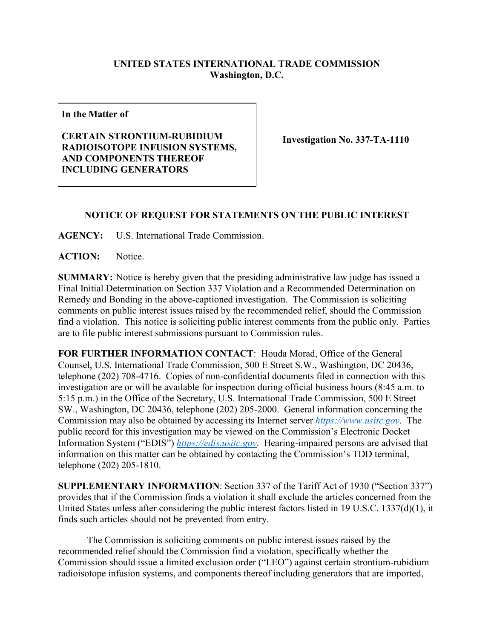## **UNITED STATES INTERNATIONAL TRADE COMMISSION Washington, D.C.**

**In the Matter of**

**CERTAIN STRONTIUM-RUBIDIUM RADIOISOTOPE INFUSION SYSTEMS, AND COMPONENTS THEREOF INCLUDING GENERATORS**

**Investigation No. 337-TA-1110**

## **NOTICE OF REQUEST FOR STATEMENTS ON THE PUBLIC INTEREST**

**AGENCY:** U.S. International Trade Commission.

**ACTION:** Notice.

**SUMMARY:** Notice is hereby given that the presiding administrative law judge has issued a Final Initial Determination on Section 337 Violation and a Recommended Determination on Remedy and Bonding in the above-captioned investigation. The Commission is soliciting comments on public interest issues raised by the recommended relief, should the Commission find a violation. This notice is soliciting public interest comments from the public only. Parties are to file public interest submissions pursuant to Commission rules.

**FOR FURTHER INFORMATION CONTACT**: Houda Morad, Office of the General Counsel, U.S. International Trade Commission, 500 E Street S.W., Washington, DC 20436, telephone (202) 708-4716. Copies of non-confidential documents filed in connection with this investigation are or will be available for inspection during official business hours (8:45 a.m. to 5:15 p.m.) in the Office of the Secretary, U.S. International Trade Commission, 500 E Street SW., Washington, DC 20436, telephone (202) 205-2000. General information concerning the Commission may also be obtained by accessing its Internet server *[https://www.usitc.gov](https://www.usitc.gov/)*. The public record for this investigation may be viewed on the Commission's Electronic Docket Information System ("EDIS") *[https://edis.usitc.gov](https://edis.usitc.gov/)*. Hearing-impaired persons are advised that information on this matter can be obtained by contacting the Commission's TDD terminal, telephone (202) 205-1810.

**SUPPLEMENTARY INFORMATION**: Section 337 of the Tariff Act of 1930 ("Section 337") provides that if the Commission finds a violation it shall exclude the articles concerned from the United States unless after considering the public interest factors listed in 19 U.S.C. 1337(d)(1), it finds such articles should not be prevented from entry.

The Commission is soliciting comments on public interest issues raised by the recommended relief should the Commission find a violation, specifically whether the Commission should issue a limited exclusion order ("LEO") against certain strontium-rubidium radioisotope infusion systems, and components thereof including generators that are imported,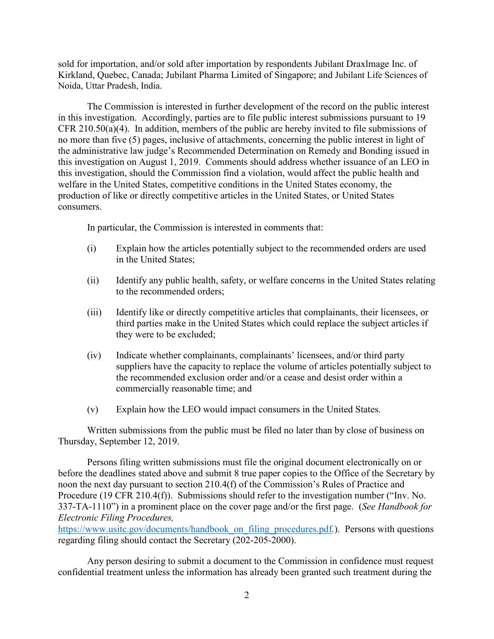sold for importation, and/or sold after importation by respondents Jubilant Draxlmage Inc. of Kirkland, Quebec, Canada; Jubilant Pharma Limited of Singapore; and Jubilant Life Sciences of Noida, Uttar Pradesh, India.

The Commission is interested in further development of the record on the public interest in this investigation. Accordingly, parties are to file public interest submissions pursuant to 19 CFR 210.50(a)(4). In addition, members of the public are hereby invited to file submissions of no more than five (5) pages, inclusive of attachments, concerning the public interest in light of the administrative law judge's Recommended Determination on Remedy and Bonding issued in this investigation on August 1, 2019. Comments should address whether issuance of an LEO in this investigation, should the Commission find a violation, would affect the public health and welfare in the United States, competitive conditions in the United States economy, the production of like or directly competitive articles in the United States, or United States consumers.

In particular, the Commission is interested in comments that:

- (i) Explain how the articles potentially subject to the recommended orders are used in the United States;
- (ii) Identify any public health, safety, or welfare concerns in the United States relating to the recommended orders;
- (iii) Identify like or directly competitive articles that complainants, their licensees, or third parties make in the United States which could replace the subject articles if they were to be excluded;
- (iv) Indicate whether complainants, complainants' licensees, and/or third party suppliers have the capacity to replace the volume of articles potentially subject to the recommended exclusion order and/or a cease and desist order within a commercially reasonable time; and
- (v) Explain how the LEO would impact consumers in the United States.

Written submissions from the public must be filed no later than by close of business on Thursday, September 12, 2019.

Persons filing written submissions must file the original document electronically on or before the deadlines stated above and submit 8 true paper copies to the Office of the Secretary by noon the next day pursuant to section 210.4(f) of the Commission's Rules of Practice and Procedure (19 CFR 210.4(f)). Submissions should refer to the investigation number ("Inv. No. 337-TA-1110") in a prominent place on the cover page and/or the first page. (*See Handbook for Electronic Filing Procedures,* 

[https://www.usitc.gov/documents/handbook\\_on\\_filing\\_procedures.pdf](https://www.usitc.gov/documents/handbook_on_filing_procedures.pdf).). Persons with questions regarding filing should contact the Secretary (202-205-2000).

Any person desiring to submit a document to the Commission in confidence must request confidential treatment unless the information has already been granted such treatment during the